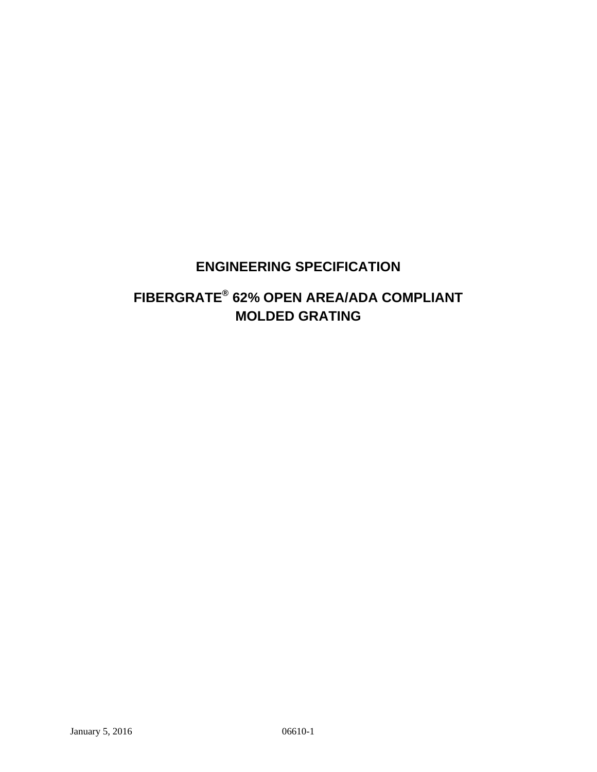## **ENGINEERING SPECIFICATION**

# **FIBERGRATE® 62% OPEN AREA/ADA COMPLIANT MOLDED GRATING**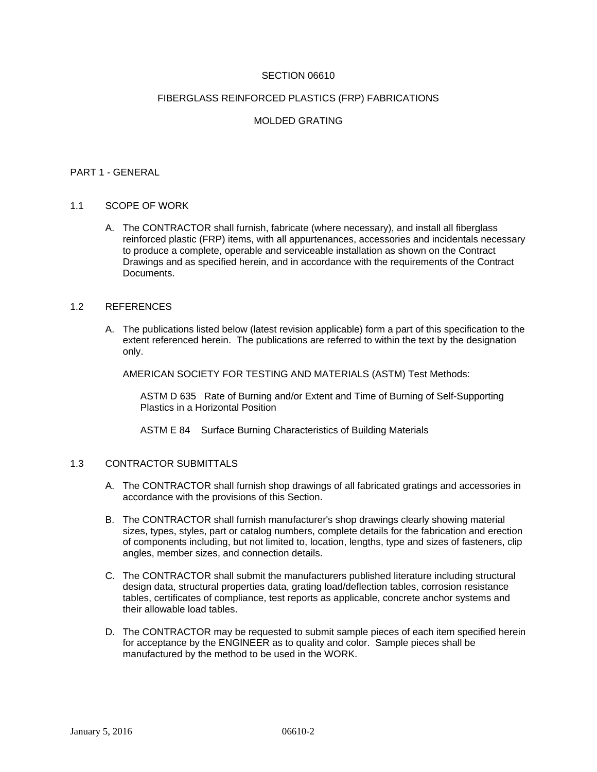### SECTION 06610

#### FIBERGLASS REINFORCED PLASTICS (FRP) FABRICATIONS

## MOLDED GRATING

#### PART 1 - GENERAL

#### 1.1 SCOPE OF WORK

A. The CONTRACTOR shall furnish, fabricate (where necessary), and install all fiberglass reinforced plastic (FRP) items, with all appurtenances, accessories and incidentals necessary to produce a complete, operable and serviceable installation as shown on the Contract Drawings and as specified herein, and in accordance with the requirements of the Contract Documents.

### 1.2 REFERENCES

A. The publications listed below (latest revision applicable) form a part of this specification to the extent referenced herein. The publications are referred to within the text by the designation only.

AMERICAN SOCIETY FOR TESTING AND MATERIALS (ASTM) Test Methods:

ASTM D 635 Rate of Burning and/or Extent and Time of Burning of Self-Supporting Plastics in a Horizontal Position

ASTM E 84 Surface Burning Characteristics of Building Materials

#### 1.3 CONTRACTOR SUBMITTALS

- A. The CONTRACTOR shall furnish shop drawings of all fabricated gratings and accessories in accordance with the provisions of this Section.
- B. The CONTRACTOR shall furnish manufacturer's shop drawings clearly showing material sizes, types, styles, part or catalog numbers, complete details for the fabrication and erection of components including, but not limited to, location, lengths, type and sizes of fasteners, clip angles, member sizes, and connection details.
- C. The CONTRACTOR shall submit the manufacturers published literature including structural design data, structural properties data, grating load/deflection tables, corrosion resistance tables, certificates of compliance, test reports as applicable, concrete anchor systems and their allowable load tables.
- D. The CONTRACTOR may be requested to submit sample pieces of each item specified herein for acceptance by the ENGINEER as to quality and color. Sample pieces shall be manufactured by the method to be used in the WORK.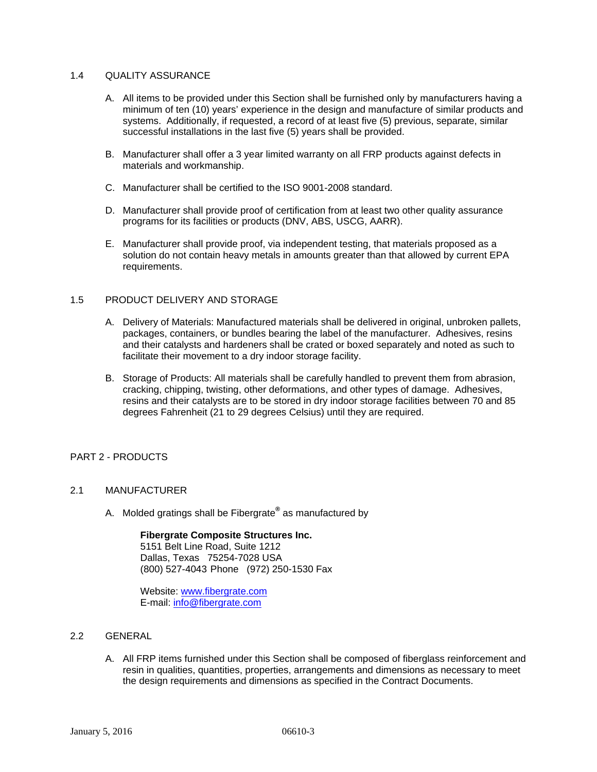### 1.4 QUALITY ASSURANCE

- A. All items to be provided under this Section shall be furnished only by manufacturers having a minimum of ten (10) years' experience in the design and manufacture of similar products and systems. Additionally, if requested, a record of at least five (5) previous, separate, similar successful installations in the last five (5) years shall be provided.
- B. Manufacturer shall offer a 3 year limited warranty on all FRP products against defects in materials and workmanship.
- C. Manufacturer shall be certified to the ISO 9001-2008 standard.
- D. Manufacturer shall provide proof of certification from at least two other quality assurance programs for its facilities or products (DNV, ABS, USCG, AARR).
- E. Manufacturer shall provide proof, via independent testing, that materials proposed as a solution do not contain heavy metals in amounts greater than that allowed by current EPA requirements.

## 1.5 PRODUCT DELIVERY AND STORAGE

- A. Delivery of Materials: Manufactured materials shall be delivered in original, unbroken pallets, packages, containers, or bundles bearing the label of the manufacturer. Adhesives, resins and their catalysts and hardeners shall be crated or boxed separately and noted as such to facilitate their movement to a dry indoor storage facility.
- B. Storage of Products: All materials shall be carefully handled to prevent them from abrasion, cracking, chipping, twisting, other deformations, and other types of damage. Adhesives, resins and their catalysts are to be stored in dry indoor storage facilities between 70 and 85 degrees Fahrenheit (21 to 29 degrees Celsius) until they are required.

### PART 2 - PRODUCTS

## 2.1 MANUFACTURER

A. Molded gratings shall be Fibergrate**®** as manufactured by

#### **Fibergrate Composite Structures Inc.**

5151 Belt Line Road, Suite 1212 Dallas, Texas 75254-7028 USA (800) 527-4043 Phone (972) 250-1530 Fax

Website: www.fibergrate.com E-mail: info@fibergrate.com

- 2.2 GENERAL
	- A. All FRP items furnished under this Section shall be composed of fiberglass reinforcement and resin in qualities, quantities, properties, arrangements and dimensions as necessary to meet the design requirements and dimensions as specified in the Contract Documents.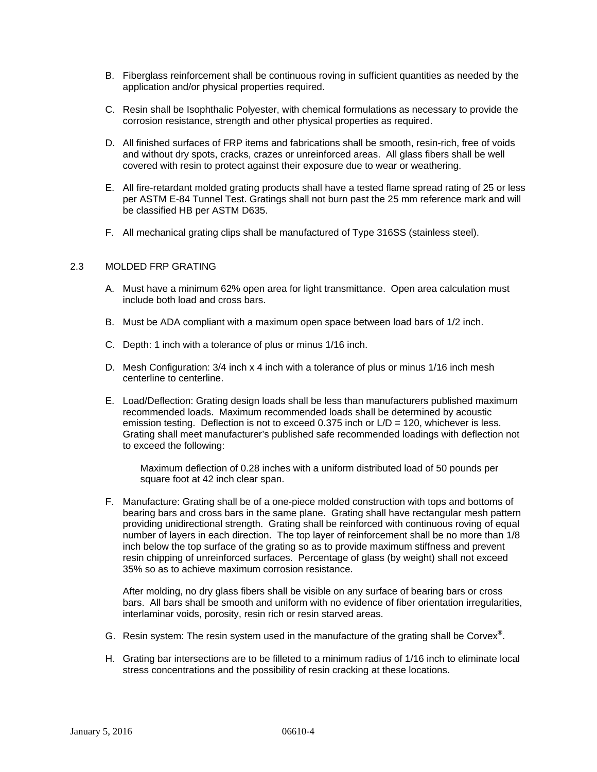- B. Fiberglass reinforcement shall be continuous roving in sufficient quantities as needed by the application and/or physical properties required.
- C. Resin shall be Isophthalic Polyester, with chemical formulations as necessary to provide the corrosion resistance, strength and other physical properties as required.
- D. All finished surfaces of FRP items and fabrications shall be smooth, resin-rich, free of voids and without dry spots, cracks, crazes or unreinforced areas. All glass fibers shall be well covered with resin to protect against their exposure due to wear or weathering.
- E. All fire-retardant molded grating products shall have a tested flame spread rating of 25 or less per ASTM E-84 Tunnel Test. Gratings shall not burn past the 25 mm reference mark and will be classified HB per ASTM D635.
- F. All mechanical grating clips shall be manufactured of Type 316SS (stainless steel).

#### 2.3 MOLDED FRP GRATING

- A. Must have a minimum 62% open area for light transmittance. Open area calculation must include both load and cross bars.
- B. Must be ADA compliant with a maximum open space between load bars of 1/2 inch.
- C. Depth: 1 inch with a tolerance of plus or minus 1/16 inch.
- D. Mesh Configuration: 3/4 inch x 4 inch with a tolerance of plus or minus 1/16 inch mesh centerline to centerline.
- E. Load/Deflection: Grating design loads shall be less than manufacturers published maximum recommended loads. Maximum recommended loads shall be determined by acoustic emission testing. Deflection is not to exceed 0.375 inch or  $L/D = 120$ , whichever is less. Grating shall meet manufacturer's published safe recommended loadings with deflection not to exceed the following:

Maximum deflection of 0.28 inches with a uniform distributed load of 50 pounds per square foot at 42 inch clear span.

F. Manufacture: Grating shall be of a one-piece molded construction with tops and bottoms of bearing bars and cross bars in the same plane. Grating shall have rectangular mesh pattern providing unidirectional strength. Grating shall be reinforced with continuous roving of equal number of layers in each direction. The top layer of reinforcement shall be no more than 1/8 inch below the top surface of the grating so as to provide maximum stiffness and prevent resin chipping of unreinforced surfaces. Percentage of glass (by weight) shall not exceed 35% so as to achieve maximum corrosion resistance.

After molding, no dry glass fibers shall be visible on any surface of bearing bars or cross bars. All bars shall be smooth and uniform with no evidence of fiber orientation irregularities, interlaminar voids, porosity, resin rich or resin starved areas.

- G. Resin system: The resin system used in the manufacture of the grating shall be Corvex**®** .
- H. Grating bar intersections are to be filleted to a minimum radius of 1/16 inch to eliminate local stress concentrations and the possibility of resin cracking at these locations.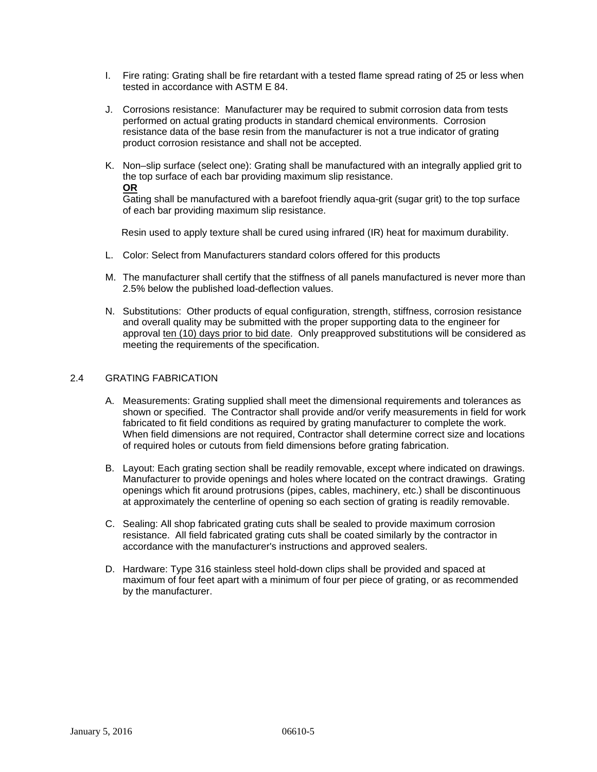- I. Fire rating: Grating shall be fire retardant with a tested flame spread rating of 25 or less when tested in accordance with ASTM E 84.
- J. Corrosions resistance: Manufacturer may be required to submit corrosion data from tests performed on actual grating products in standard chemical environments. Corrosion resistance data of the base resin from the manufacturer is not a true indicator of grating product corrosion resistance and shall not be accepted.
- K. Non–slip surface (select one): Grating shall be manufactured with an integrally applied grit to the top surface of each bar providing maximum slip resistance. **OR**

Gating shall be manufactured with a barefoot friendly aqua-grit (sugar grit) to the top surface of each bar providing maximum slip resistance.

Resin used to apply texture shall be cured using infrared (IR) heat for maximum durability.

- L. Color: Select from Manufacturers standard colors offered for this products
- M. The manufacturer shall certify that the stiffness of all panels manufactured is never more than 2.5% below the published load-deflection values.
- N. Substitutions: Other products of equal configuration, strength, stiffness, corrosion resistance and overall quality may be submitted with the proper supporting data to the engineer for approval ten (10) days prior to bid date. Only preapproved substitutions will be considered as meeting the requirements of the specification.

## 2.4 GRATING FABRICATION

- A. Measurements: Grating supplied shall meet the dimensional requirements and tolerances as shown or specified. The Contractor shall provide and/or verify measurements in field for work fabricated to fit field conditions as required by grating manufacturer to complete the work. When field dimensions are not required, Contractor shall determine correct size and locations of required holes or cutouts from field dimensions before grating fabrication.
- B. Layout: Each grating section shall be readily removable, except where indicated on drawings. Manufacturer to provide openings and holes where located on the contract drawings. Grating openings which fit around protrusions (pipes, cables, machinery, etc.) shall be discontinuous at approximately the centerline of opening so each section of grating is readily removable.
- C. Sealing: All shop fabricated grating cuts shall be sealed to provide maximum corrosion resistance. All field fabricated grating cuts shall be coated similarly by the contractor in accordance with the manufacturer's instructions and approved sealers.
- D. Hardware: Type 316 stainless steel hold-down clips shall be provided and spaced at maximum of four feet apart with a minimum of four per piece of grating, or as recommended by the manufacturer.